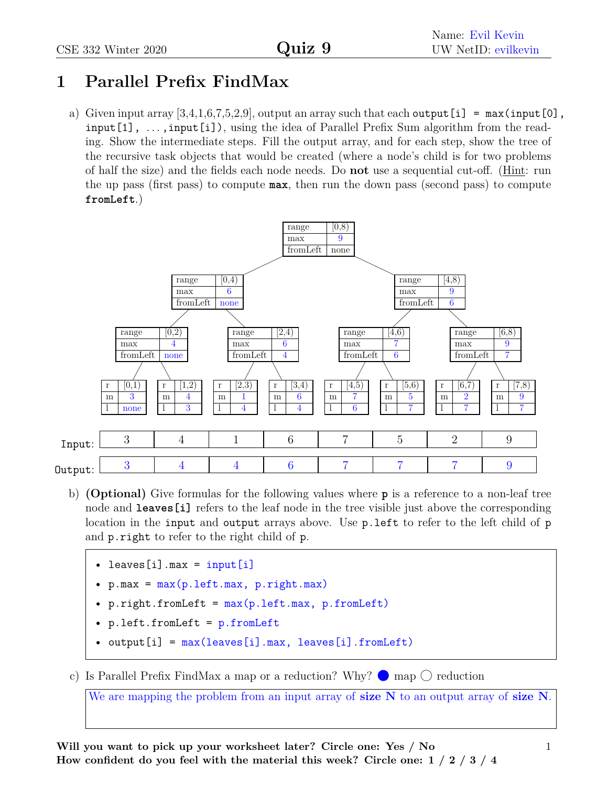## **1 Parallel Prefix FindMax**

a) Given input array  $[3,4,1,6,7,5,2,9]$ , output an array such that each output [i] = max(input [0], input [1],  $\dots$ , input [i]), using the idea of Parallel Prefix Sum algorithm from the reading. Show the intermediate steps. Fill the output array, and for each step, show the tree of the recursive task objects that would be created (where a node's child is for two problems of half the size) and the fields each node needs. Do **not** use a sequential cut-off. (Hint: run the up pass (first pass) to compute **max**, then run the down pass (second pass) to compute **fromLeft**.)



b) **(Optional)** Give formulas for the following values where **p** is a reference to a non-leaf tree node and **leaves** [i] refers to the leaf node in the tree visible just above the corresponding location in the input and output arrays above. Use p. left to refer to the left child of p and p.right to refer to the right child of p.

```
• leaves[i].max = input[i]
```
- $p.max = max(p.left.max, p.right.max)$
- p.right.fromLeft = max(p.left.max, p.fromLeft)
- p.left.fromLeft = p.fromLeft
- output[i] = max(leaves[i].max, leaves[i].fromLeft)

c) Is Parallel Prefix FindMax a map or a reduction? Why?  $\bullet$  map  $\circlearrowright$  reduction

We are mapping the problem from an input array of **size N** to an output array of **size N**.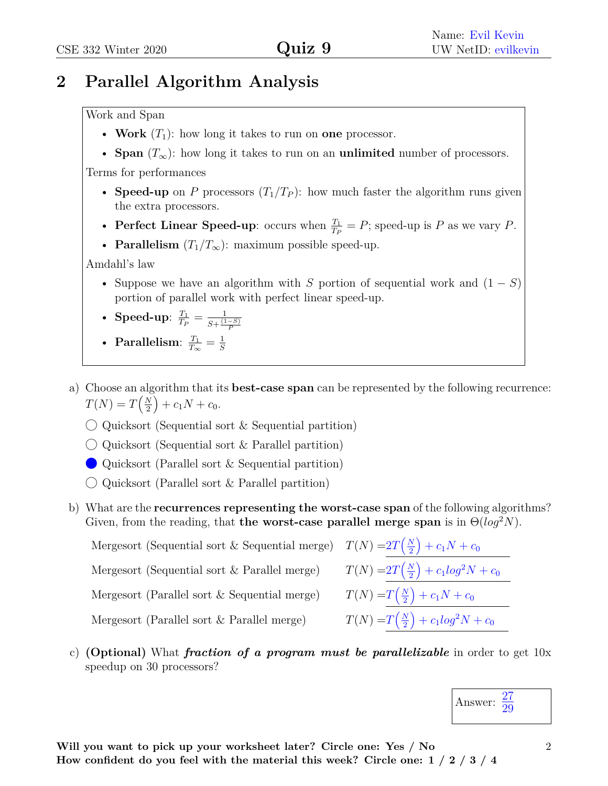## **2 Parallel Algorithm Analysis**

## Work and Span

- **Work**  $(T_1)$ : how long it takes to run on **one** processor.
- **Span**  $(T_\infty)$ : how long it takes to run on an **unlimited** number of processors.

Terms for performances

- **Speed-up** on *P* processors  $(T_1/T_P)$ : how much faster the algorithm runs given the extra processors.
- **Perfect Linear Speed-up**: occurs when  $\frac{T_1}{T_P} = P$ ; speed-up is *P* as we vary *P*.
- **Parallelism**  $(T_1/T_\infty)$ : maximum possible speed-up.

Amdahl's law

• Suppose we have an algorithm with *S* portion of sequential work and (1 − *S*) portion of parallel work with perfect linear speed-up.

• Speed-up: 
$$
\frac{T_1}{T_P} = \frac{1}{S + \frac{(1-S)}{P}}
$$

• Parallelism: 
$$
\frac{T_1}{T_{\infty}} = \frac{1}{S}
$$

- a) Choose an algorithm that its **best-case span** can be represented by the following recurrence:  $T(N) = T\left(\frac{N}{2}\right)$ 2  $+ c_1 N + c_0.$ 
	- $\bigcirc$  Quicksort (Sequential sort & Sequential partition)
	- $\bigcirc$  Quicksort (Sequential sort & Parallel partition)
	- Quicksort (Parallel sort & Sequential partition)
	- $\bigcirc$  Quicksort (Parallel sort & Parallel partition)
- b) What are the **recurrences representing the worst-case span** of the following algorithms? Given, from the reading, that **the worst-case parallel merge span** is in  $\Theta(log^2 N)$ .

2

2

 $\sqrt{\frac{N}{N}}$ 2

 $\sqrt{\Delta}$ 2

 $+ c_1 N + c_0$ 

 $+ c_1 N + c_0$ 

 $+ c_1 log^2 N + c_0$ 

 $+ c_1 log^2 N + c_0$ 

Mergesort (Sequential sort & Sequential merge)  $T(N) = 2T(\frac{N}{2})$ Mergesort (Sequential sort & Parallel merge)  $T(N) = 2T(\frac{N}{2})$ Mergesort (Parallel sort & Sequential merge) Mergesort (Parallel sort & Parallel merge)

c) **(Optional)** What *fraction of a program must be parallelizable* in order to get 10x speedup on 30 processors?